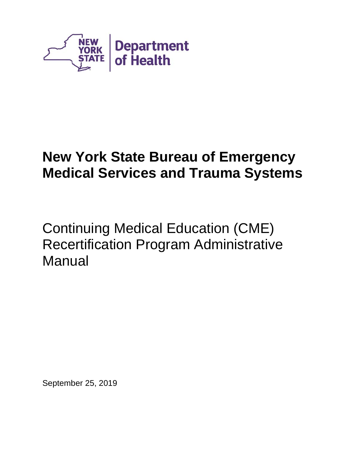

# **New York State Bureau of Emergency Medical Services and Trauma Systems**

Continuing Medical Education (CME) Recertification Program Administrative Manual

September 25, 2019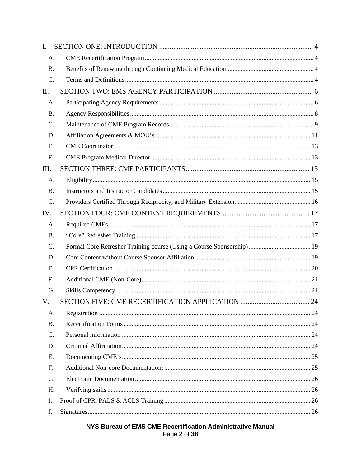| $\mathbf{I}$ . |  |
|----------------|--|
| A.             |  |
| <b>B.</b>      |  |
| C.             |  |
| II.            |  |
| A.             |  |
| <b>B.</b>      |  |
| C.             |  |
| D.             |  |
| Ε.             |  |
| F.             |  |
| Ш.             |  |
| A.             |  |
| <b>B.</b>      |  |
| C.             |  |
| IV.            |  |
| A.             |  |
| <b>B.</b>      |  |
| C.             |  |
| D.             |  |
| E.             |  |
| F.             |  |
| G.             |  |
| V.             |  |
| А.             |  |
| <b>B.</b>      |  |
| C.             |  |
| D.             |  |
| E.             |  |
| F.             |  |
| G.             |  |
| H.             |  |
| Ι.             |  |
| J.             |  |

# NYS Bureau of EMS CME Recertification Administrative Manual Page 2 of 38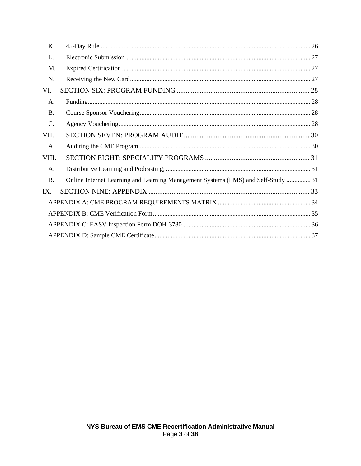| K.             |                                                                                  |  |
|----------------|----------------------------------------------------------------------------------|--|
| L.             |                                                                                  |  |
| M.             |                                                                                  |  |
| N.             |                                                                                  |  |
| VI.            |                                                                                  |  |
| A.             |                                                                                  |  |
| <b>B.</b>      |                                                                                  |  |
| C.             |                                                                                  |  |
| VII.           |                                                                                  |  |
| $\mathsf{A}$ . |                                                                                  |  |
| VIII.          |                                                                                  |  |
| A.             |                                                                                  |  |
| <b>B.</b>      | Online Internet Learning and Learning Management Systems (LMS) and Self-Study 31 |  |
| IX.            |                                                                                  |  |
|                |                                                                                  |  |
|                |                                                                                  |  |
|                |                                                                                  |  |
|                |                                                                                  |  |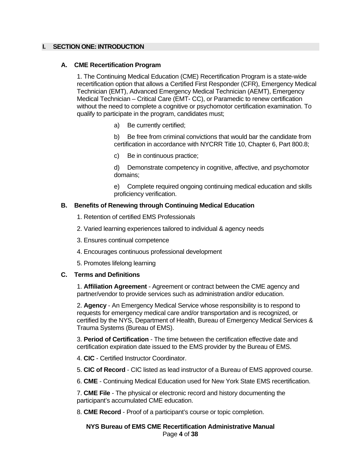# <span id="page-3-1"></span><span id="page-3-0"></span>**I. SECTION ONE: INTRODUCTION**

## **A. CME Recertification Program**

1. The Continuing Medical Education (CME) Recertification Program is a state-wide recertification option that allows a Certified First Responder (CFR), Emergency Medical Technician (EMT), Advanced Emergency Medical Technician (AEMT), Emergency Medical Technician – Critical Care (EMT- CC), or Paramedic to renew certification without the need to complete a cognitive or psychomotor certification examination. To qualify to participate in the program, candidates must;

a) Be currently certified;

b) Be free from criminal convictions that would bar the candidate from certification in accordance with NYCRR Title 10, Chapter 6, Part 800.8;

c) Be in continuous practice;

d) Demonstrate competency in cognitive, affective, and psychomotor domains;

e) Complete required ongoing continuing medical education and skills proficiency verification.

# <span id="page-3-2"></span>**B. Benefits of Renewing through Continuing Medical Education**

- 1. Retention of certified EMS Professionals
- 2. Varied learning experiences tailored to individual & agency needs
- 3. Ensures continual competence
- 4. Encourages continuous professional development
- 5. Promotes lifelong learning

#### <span id="page-3-3"></span>**C. Terms and Definitions**

1. **Affiliation Agreement** - Agreement or contract between the CME agency and partner/vendor to provide services such as administration and/or education.

2. **Agency** - An Emergency Medical Service whose responsibility is to respond to requests for emergency medical care and/or transportation and is recognized, or certified by the NYS, Department of Health, Bureau of Emergency Medical Services & Trauma Systems (Bureau of EMS).

3. **Period of Certification** - The time between the certification effective date and certification expiration date issued to the EMS provider by the Bureau of EMS.

- 4. **CIC** Certified Instructor Coordinator.
- 5. **CIC of Record** CIC listed as lead instructor of a Bureau of EMS approved course.
- 6. **CME** Continuing Medical Education used for New York State EMS recertification.

7. **CME File** - The physical or electronic record and history documenting the participant's accumulated CME education.

8. **CME Record** - Proof of a participant's course or topic completion.

**NYS Bureau of EMS CME Recertification Administrative Manual** Page **4** of **38**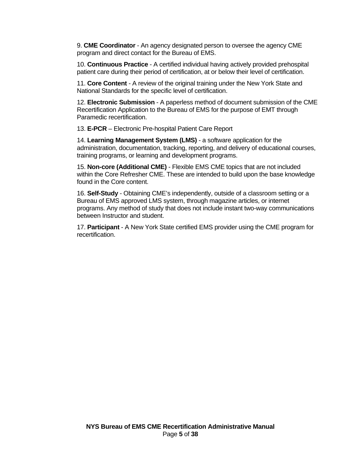9. **CME Coordinator** - An agency designated person to oversee the agency CME program and direct contact for the Bureau of EMS.

10. **Continuous Practice** - A certified individual having actively provided prehospital patient care during their period of certification, at or below their level of certification.

11. **Core Content** - A review of the original training under the New York State and National Standards for the specific level of certification.

12. **Electronic Submission** - A paperless method of document submission of the CME Recertification Application to the Bureau of EMS for the purpose of EMT through Paramedic recertification.

13. **E-PCR** – Electronic Pre-hospital Patient Care Report

14. **Learning Management System (LMS)** - a software application for the administration, documentation, tracking, reporting, and delivery of educational courses, training programs, or learning and development programs.

15. **Non-core (Additional CME)** - Flexible EMS CME topics that are not included within the Core Refresher CME. These are intended to build upon the base knowledge found in the Core content.

16. **Self-Study** - Obtaining CME's independently, outside of a classroom setting or a Bureau of EMS approved LMS system, through magazine articles, or internet programs. Any method of study that does not include instant two-way communications between Instructor and student.

17. **Participant** - A New York State certified EMS provider using the CME program for recertification.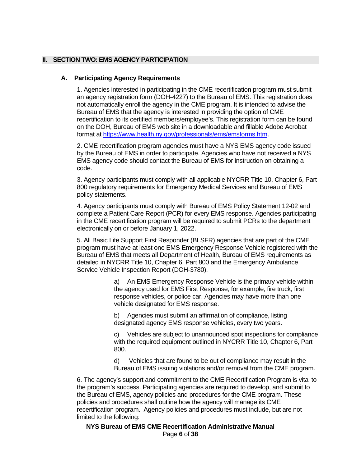# <span id="page-5-1"></span><span id="page-5-0"></span>**II. SECTION TWO: EMS AGENCY PARTICIPATION**

## **A. Participating Agency Requirements**

1. Agencies interested in participating in the CME recertification program must submit an agency registration form (DOH-4227) to the Bureau of EMS. This registration does not automatically enroll the agency in the CME program. It is intended to advise the Bureau of EMS that the agency is interested in providing the option of CME recertification to its certified members/employee's. This registration form can be found on the DOH, Bureau of EMS web site in a downloadable and fillable Adobe Acrobat format at [https://www.health.ny.gov/professionals/ems/emsforms.htm.](https://www.health.ny.gov/professionals/ems/emsforms.htm)

2. CME recertification program agencies must have a NYS EMS agency code issued by the Bureau of EMS in order to participate. Agencies who have not received a NYS EMS agency code should contact the Bureau of EMS for instruction on obtaining a code.

3. Agency participants must comply with all applicable NYCRR Title 10, Chapter 6, Part 800 regulatory requirements for Emergency Medical Services and Bureau of EMS policy statements.

4. Agency participants must comply with Bureau of EMS Policy Statement 12-02 and complete a Patient Care Report (PCR) for every EMS response. Agencies participating in the CME recertification program will be required to submit PCRs to the department electronically on or before January 1, 2022.

5. All Basic Life Support First Responder (BLSFR) agencies that are part of the CME program must have at least one EMS Emergency Response Vehicle registered with the Bureau of EMS that meets all Department of Health, Bureau of EMS requirements as detailed in NYCRR Title 10, Chapter 6, Part 800 and the Emergency Ambulance Service Vehicle Inspection Report (DOH-3780).

> a) An EMS Emergency Response Vehicle is the primary vehicle within the agency used for EMS First Response, for example, fire truck, first response vehicles, or police car. Agencies may have more than one vehicle designated for EMS response.

b) Agencies must submit an affirmation of compliance, listing designated agency EMS response vehicles, every two years.

c) Vehicles are subject to unannounced spot inspections for compliance with the required equipment outlined in NYCRR Title 10, Chapter 6, Part 800.

d) Vehicles that are found to be out of compliance may result in the Bureau of EMS issuing violations and/or removal from the CME program.

6. The agency's support and commitment to the CME Recertification Program is vital to the program's success. Participating agencies are required to develop, and submit to the Bureau of EMS, agency policies and procedures for the CME program. These policies and procedures shall outline how the agency will manage its CME recertification program. Agency policies and procedures must include, but are not limited to the following:

**NYS Bureau of EMS CME Recertification Administrative Manual** Page **6** of **38**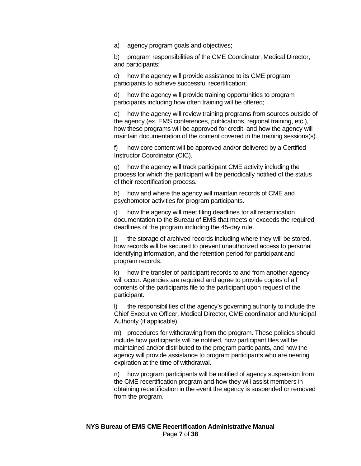a) agency program goals and objectives;

b) program responsibilities of the CME Coordinator, Medical Director, and participants;

c) how the agency will provide assistance to its CME program participants to achieve successful recertification;

d) how the agency will provide training opportunities to program participants including how often training will be offered;

e) how the agency will review training programs from sources outside of the agency (ex. EMS conferences, publications, regional training, etc.), how these programs will be approved for credit, and how the agency will maintain documentation of the content covered in the training sessions(s).

f) how core content will be approved and/or delivered by a Certified Instructor Coordinator (CIC).

g) how the agency will track participant CME activity including the process for which the participant will be periodically notified of the status of their recertification process.

h) how and where the agency will maintain records of CME and psychomotor activities for program participants.

i) how the agency will meet filing deadlines for all recertification documentation to the Bureau of EMS that meets or exceeds the required deadlines of the program including the 45-day rule.

j) the storage of archived records including where they will be stored, how records will be secured to prevent unauthorized access to personal identifying information, and the retention period for participant and program records.

k) how the transfer of participant records to and from another agency will occur. Agencies are required and agree to provide copies of all contents of the participants file to the participant upon request of the participant.

the responsibilities of the agency's governing authority to include the Chief Executive Officer, Medical Director, CME coordinator and Municipal Authority (if applicable).

m) procedures for withdrawing from the program. These policies should include how participants will be notified, how participant files will be maintained and/or distributed to the program participants, and how the agency will provide assistance to program participants who are nearing expiration at the time of withdrawal.

n) how program participants will be notified of agency suspension from the CME recertification program and how they will assist members in obtaining recertification in the event the agency is suspended or removed from the program.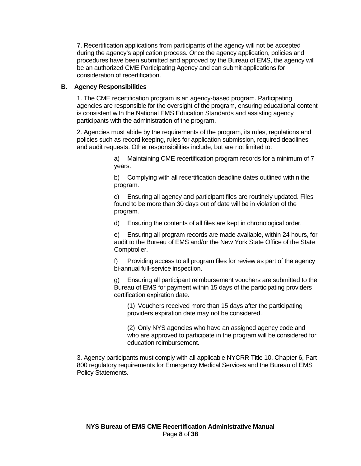7. Recertification applications from participants of the agency will not be accepted during the agency's application process. Once the agency application, policies and procedures have been submitted and approved by the Bureau of EMS, the agency will be an authorized CME Participating Agency and can submit applications for consideration of recertification.

# <span id="page-7-0"></span>**B. Agency Responsibilities**

1. The CME recertification program is an agency-based program. Participating agencies are responsible for the oversight of the program, ensuring educational content is consistent with the National EMS Education Standards and assisting agency participants with the administration of the program.

2. Agencies must abide by the requirements of the program, its rules, regulations and policies such as record keeping, rules for application submission, required deadlines and audit requests. Other responsibilities include, but are not limited to:

> a) Maintaining CME recertification program records for a minimum of 7 years.

b) Complying with all recertification deadline dates outlined within the program.

c) Ensuring all agency and participant files are routinely updated. Files found to be more than 30 days out of date will be in violation of the program.

d) Ensuring the contents of all files are kept in chronological order.

e) Ensuring all program records are made available, within 24 hours, for audit to the Bureau of EMS and/or the New York State Office of the State Comptroller.

f) Providing access to all program files for review as part of the agency bi-annual full-service inspection.

g) Ensuring all participant reimbursement vouchers are submitted to the Bureau of EMS for payment within 15 days of the participating providers certification expiration date.

(1) Vouchers received more than 15 days after the participating providers expiration date may not be considered.

(2) Only NYS agencies who have an assigned agency code and who are approved to participate in the program will be considered for education reimbursement.

3. Agency participants must comply with all applicable NYCRR Title 10, Chapter 6, Part 800 regulatory requirements for Emergency Medical Services and the Bureau of EMS Policy Statements.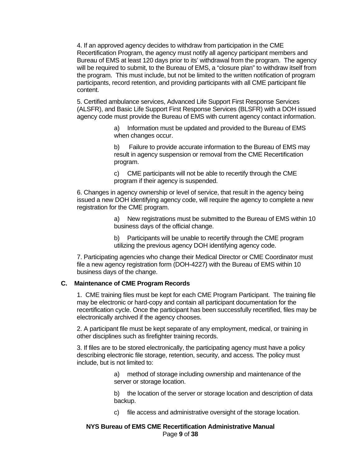4. If an approved agency decides to withdraw from participation in the CME Recertification Program, the agency must notify all agency participant members and Bureau of EMS at least 120 days prior to its' withdrawal from the program. The agency will be required to submit, to the Bureau of EMS, a "closure plan" to withdraw itself from the program. This must include, but not be limited to the written notification of program participants, record retention, and providing participants with all CME participant file content.

5. Certified ambulance services, Advanced Life Support First Response Services (ALSFR), and Basic Life Support First Response Services (BLSFR) with a DOH issued agency code must provide the Bureau of EMS with current agency contact information.

> a) Information must be updated and provided to the Bureau of EMS when changes occur.

b) Failure to provide accurate information to the Bureau of EMS may result in agency suspension or removal from the CME Recertification program.

c) CME participants will not be able to recertify through the CME program if their agency is suspended.

6. Changes in agency ownership or level of service, that result in the agency being issued a new DOH identifying agency code, will require the agency to complete a new registration for the CME program.

> a) New registrations must be submitted to the Bureau of EMS within 10 business days of the official change.

b) Participants will be unable to recertify through the CME program utilizing the previous agency DOH identifying agency code.

7. Participating agencies who change their Medical Director or CME Coordinator must file a new agency registration form (DOH-4227) with the Bureau of EMS within 10 business days of the change.

# <span id="page-8-0"></span>**C. Maintenance of CME Program Records**

1. CME training files must be kept for each CME Program Participant. The training file may be electronic or hard-copy and contain all participant documentation for the recertification cycle. Once the participant has been successfully recertified, files may be electronically archived if the agency chooses.

2. A participant file must be kept separate of any employment, medical, or training in other disciplines such as firefighter training records.

3. If files are to be stored electronically, the participating agency must have a policy describing electronic file storage, retention, security, and access. The policy must include, but is not limited to:

> a) method of storage including ownership and maintenance of the server or storage location.

b) the location of the server or storage location and description of data backup.

c) file access and administrative oversight of the storage location.

## **NYS Bureau of EMS CME Recertification Administrative Manual** Page **9** of **38**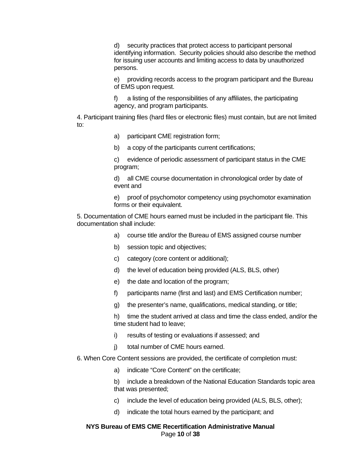d) security practices that protect access to participant personal identifying information. Security policies should also describe the method for issuing user accounts and limiting access to data by unauthorized persons.

e) providing records access to the program participant and the Bureau of EMS upon request.

f) a listing of the responsibilities of any affiliates, the participating agency, and program participants.

4. Participant training files (hard files or electronic files) must contain, but are not limited to:

- a) participant CME registration form;
- b) a copy of the participants current certifications;

c) evidence of periodic assessment of participant status in the CME program;

d) all CME course documentation in chronological order by date of event and

e) proof of psychomotor competency using psychomotor examination forms or their equivalent.

5. Documentation of CME hours earned must be included in the participant file. This documentation shall include:

- a) course title and/or the Bureau of EMS assigned course number
- b) session topic and objectives;
- c) category (core content or additional);
- d) the level of education being provided (ALS, BLS, other)
- e) the date and location of the program;
- f) participants name (first and last) and EMS Certification number;
- g) the presenter's name, qualifications, medical standing, or title;

h) time the student arrived at class and time the class ended, and/or the time student had to leave;

- i) results of testing or evaluations if assessed; and
- j) total number of CME hours earned.
- 6. When Core Content sessions are provided, the certificate of completion must:
	- a) indicate "Core Content" on the certificate;

b) include a breakdown of the National Education Standards topic area that was presented;

- c) include the level of education being provided (ALS, BLS, other);
- d) indicate the total hours earned by the participant; and

# **NYS Bureau of EMS CME Recertification Administrative Manual** Page **10** of **38**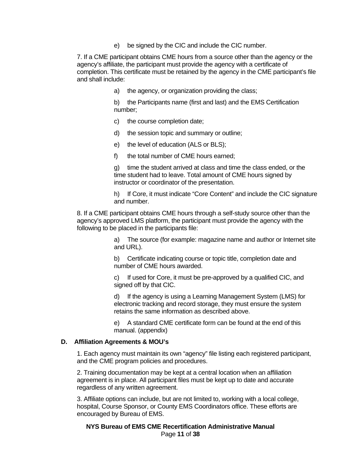e) be signed by the CIC and include the CIC number.

7. If a CME participant obtains CME hours from a source other than the agency or the agency's affiliate, the participant must provide the agency with a certificate of completion. This certificate must be retained by the agency in the CME participant's file and shall include:

a) the agency, or organization providing the class;

b) the Participants name (first and last) and the EMS Certification number;

- c) the course completion date;
- d) the session topic and summary or outline;
- e) the level of education (ALS or BLS);
- f) the total number of CME hours earned;

g) time the student arrived at class and time the class ended, or the time student had to leave. Total amount of CME hours signed by instructor or coordinator of the presentation.

h) If Core, it must indicate "Core Content" and include the CIC signature and number.

8. If a CME participant obtains CME hours through a self-study source other than the agency's approved LMS platform, the participant must provide the agency with the following to be placed in the participants file:

> a) The source (for example: magazine name and author or Internet site and URL).

b) Certificate indicating course or topic title, completion date and number of CME hours awarded.

c) If used for Core, it must be pre-approved by a qualified CIC, and signed off by that CIC.

d) If the agency is using a Learning Management System (LMS) for electronic tracking and record storage, they must ensure the system retains the same information as described above.

e) A standard CME certificate form can be found at the end of this manual. (appendix)

#### <span id="page-10-0"></span>**D. Affiliation Agreements & MOU's**

1. Each agency must maintain its own "agency" file listing each registered participant, and the CME program policies and procedures.

2. Training documentation may be kept at a central location when an affiliation agreement is in place. All participant files must be kept up to date and accurate regardless of any written agreement.

3. Affiliate options can include, but are not limited to, working with a local college, hospital, Course Sponsor, or County EMS Coordinators office. These efforts are encouraged by Bureau of EMS.

**NYS Bureau of EMS CME Recertification Administrative Manual** Page **11** of **38**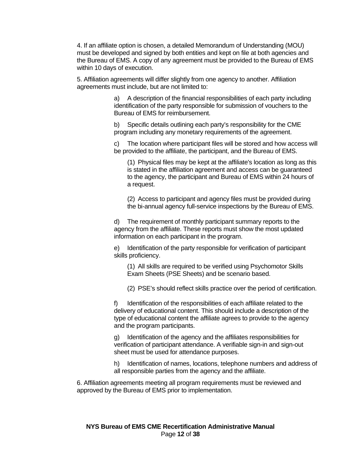4. If an affiliate option is chosen, a detailed Memorandum of Understanding (MOU) must be developed and signed by both entities and kept on file at both agencies and the Bureau of EMS. A copy of any agreement must be provided to the Bureau of EMS within 10 days of execution.

5. Affiliation agreements will differ slightly from one agency to another. Affiliation agreements must include, but are not limited to:

> a) A description of the financial responsibilities of each party including identification of the party responsible for submission of vouchers to the Bureau of EMS for reimbursement.

b) Specific details outlining each party's responsibility for the CME program including any monetary requirements of the agreement.

c) The location where participant files will be stored and how access will be provided to the affiliate, the participant, and the Bureau of EMS.

(1) Physical files may be kept at the affiliate's location as long as this is stated in the affiliation agreement and access can be guaranteed to the agency, the participant and Bureau of EMS within 24 hours of a request.

(2) Access to participant and agency files must be provided during the bi-annual agency full-service inspections by the Bureau of EMS.

d) The requirement of monthly participant summary reports to the agency from the affiliate. These reports must show the most updated information on each participant in the program.

e) Identification of the party responsible for verification of participant skills proficiency.

(1) All skills are required to be verified using Psychomotor Skills Exam Sheets (PSE Sheets) and be scenario based.

(2) PSE's should reflect skills practice over the period of certification.

f) Identification of the responsibilities of each affiliate related to the delivery of educational content. This should include a description of the type of educational content the affiliate agrees to provide to the agency and the program participants.

g) Identification of the agency and the affiliates responsibilities for verification of participant attendance. A verifiable sign-in and sign-out sheet must be used for attendance purposes.

h) Identification of names, locations, telephone numbers and address of all responsible parties from the agency and the affiliate.

6. Affiliation agreements meeting all program requirements must be reviewed and approved by the Bureau of EMS prior to implementation.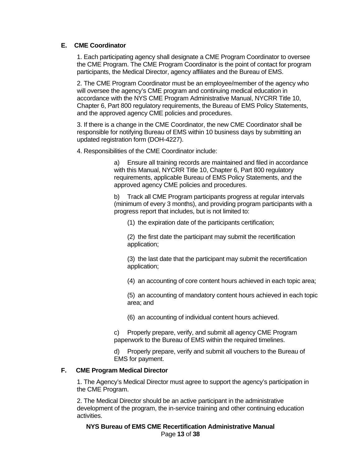# <span id="page-12-0"></span>**E. CME Coordinator**

1. Each participating agency shall designate a CME Program Coordinator to oversee the CME Program. The CME Program Coordinator is the point of contact for program participants, the Medical Director, agency affiliates and the Bureau of EMS.

2. The CME Program Coordinator must be an employee/member of the agency who will oversee the agency's CME program and continuing medical education in accordance with the NYS CME Program Administrative Manual, NYCRR Title 10, Chapter 6, Part 800 regulatory requirements, the Bureau of EMS Policy Statements, and the approved agency CME policies and procedures.

3. If there is a change in the CME Coordinator, the new CME Coordinator shall be responsible for notifying Bureau of EMS within 10 business days by submitting an updated registration form (DOH-4227).

4. Responsibilities of the CME Coordinator include:

a) Ensure all training records are maintained and filed in accordance with this Manual, NYCRR Title 10, Chapter 6, Part 800 regulatory requirements, applicable Bureau of EMS Policy Statements, and the approved agency CME policies and procedures.

b) Track all CME Program participants progress at regular intervals (minimum of every 3 months), and providing program participants with a progress report that includes, but is not limited to:

(1) the expiration date of the participants certification;

(2) the first date the participant may submit the recertification application;

(3) the last date that the participant may submit the recertification application;

(4) an accounting of core content hours achieved in each topic area;

(5) an accounting of mandatory content hours achieved in each topic area; and

(6) an accounting of individual content hours achieved.

c) Properly prepare, verify, and submit all agency CME Program paperwork to the Bureau of EMS within the required timelines.

d) Properly prepare, verify and submit all vouchers to the Bureau of EMS for payment.

#### <span id="page-12-1"></span>**F. CME Program Medical Director**

1. The Agency's Medical Director must agree to support the agency's participation in the CME Program.

2. The Medical Director should be an active participant in the administrative development of the program, the in-service training and other continuing education activities.

**NYS Bureau of EMS CME Recertification Administrative Manual** Page **13** of **38**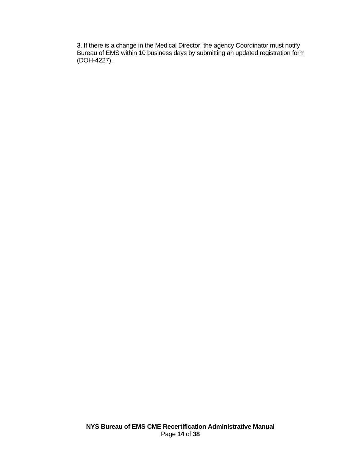3. If there is a change in the Medical Director, the agency Coordinator must notify Bureau of EMS within 10 business days by submitting an updated registration form (DOH-4227).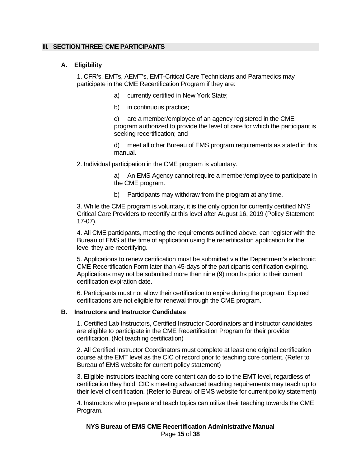#### <span id="page-14-1"></span><span id="page-14-0"></span>**III. SECTION THREE: CME PARTICIPANTS**

#### **A. Eligibility**

1. CFR's, EMTs, AEMT's, EMT-Critical Care Technicians and Paramedics may participate in the CME Recertification Program if they are:

- a) currently certified in New York State;
- b) in continuous practice;

c) are a member/employee of an agency registered in the CME program authorized to provide the level of care for which the participant is seeking recertification; and

d) meet all other Bureau of EMS program requirements as stated in this manual.

2. Individual participation in the CME program is voluntary.

a) An EMS Agency cannot require a member/employee to participate in the CME program.

b) Participants may withdraw from the program at any time.

3. While the CME program is voluntary, it is the only option for currently certified NYS Critical Care Providers to recertify at this level after August 16, 2019 (Policy Statement 17-07).

4. All CME participants, meeting the requirements outlined above, can register with the Bureau of EMS at the time of application using the recertification application for the level they are recertifying.

5. Applications to renew certification must be submitted via the Department's electronic CME Recertification Form later than 45-days of the participants certification expiring. Applications may not be submitted more than nine (9) months prior to their current certification expiration date.

6. Participants must not allow their certification to expire during the program. Expired certifications are not eligible for renewal through the CME program.

## <span id="page-14-2"></span>**B. Instructors and Instructor Candidates**

1. Certified Lab Instructors, Certified Instructor Coordinators and instructor candidates are eligible to participate in the CME Recertification Program for their provider certification. (Not teaching certification)

2. All Certified Instructor Coordinators must complete at least one original certification course at the EMT level as the CIC of record prior to teaching core content. (Refer to Bureau of EMS website for current policy statement)

3. Eligible instructors teaching core content can do so to the EMT level, regardless of certification they hold. CIC's meeting advanced teaching requirements may teach up to their level of certification. (Refer to Bureau of EMS website for current policy statement)

4. Instructors who prepare and teach topics can utilize their teaching towards the CME Program.

#### **NYS Bureau of EMS CME Recertification Administrative Manual** Page **15** of **38**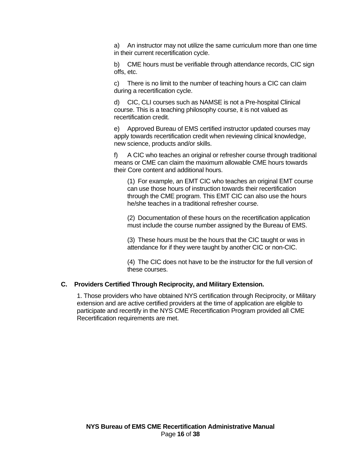a) An instructor may not utilize the same curriculum more than one time in their current recertification cycle.

b) CME hours must be verifiable through attendance records, CIC sign offs, etc.

c) There is no limit to the number of teaching hours a CIC can claim during a recertification cycle.

d) CIC, CLI courses such as NAMSE is not a Pre-hospital Clinical course. This is a teaching philosophy course, it is not valued as recertification credit.

e) Approved Bureau of EMS certified instructor updated courses may apply towards recertification credit when reviewing clinical knowledge, new science, products and/or skills.

f) A CIC who teaches an original or refresher course through traditional means or CME can claim the maximum allowable CME hours towards their Core content and additional hours.

(1) For example, an EMT CIC who teaches an original EMT course can use those hours of instruction towards their recertification through the CME program. This EMT CIC can also use the hours he/she teaches in a traditional refresher course.

(2) Documentation of these hours on the recertification application must include the course number assigned by the Bureau of EMS.

(3) These hours must be the hours that the CIC taught or was in attendance for if they were taught by another CIC or non-CIC.

(4) The CIC does not have to be the instructor for the full version of these courses.

#### <span id="page-15-0"></span>**C. Providers Certified Through Reciprocity, and Military Extension.**

1. Those providers who have obtained NYS certification through Reciprocity, or Military extension and are active certified providers at the time of application are eligible to participate and recertify in the NYS CME Recertification Program provided all CME Recertification requirements are met.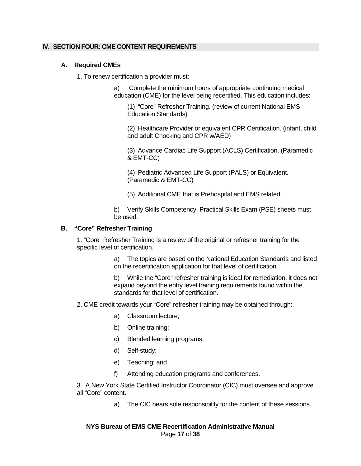## <span id="page-16-1"></span><span id="page-16-0"></span>**IV. SECTION FOUR: CME CONTENT REQUIREMENTS**

## **A. Required CMEs**

1. To renew certification a provider must:

a) Complete the minimum hours of appropriate continuing medical education (CME) for the level being recertified. This education includes:

(1) "Core" Refresher Training. (review of current National EMS Education Standards)

(2) Healthcare Provider or equivalent CPR Certification. (infant, child and adult Chocking and CPR w/AED)

(3) Advance Cardiac Life Support (ACLS) Certification. (Paramedic & EMT-CC)

(4) Pediatric Advanced Life Support (PALS) or Equivalent. (Paramedic & EMT-CC)

(5) Additional CME that is Prehospital and EMS related.

b) Verify Skills Competency. Practical Skills Exam (PSE) sheets must be used.

#### <span id="page-16-2"></span>**B. "Core" Refresher Training**

1. "Core" Refresher Training is a review of the original or refresher training for the specific level of certification.

> a) The topics are based on the National Education Standards and listed on the recertification application for that level of certification.

> b) While the "Core" refresher training is ideal for remediation, it does not expand beyond the entry level training requirements found within the standards for that level of certification.

2. CME credit towards your "Core" refresher training may be obtained through:

- a) Classroom lecture;
- b) Online training;
- c) Blended learning programs;
- d) Self-study;
- e) Teaching; and
- f) Attending education programs and conferences.

3. A New York State Certified Instructor Coordinator (CIC) must oversee and approve all "Core" content.

a) The CIC bears sole responsibility for the content of these sessions.

#### **NYS Bureau of EMS CME Recertification Administrative Manual** Page **17** of **38**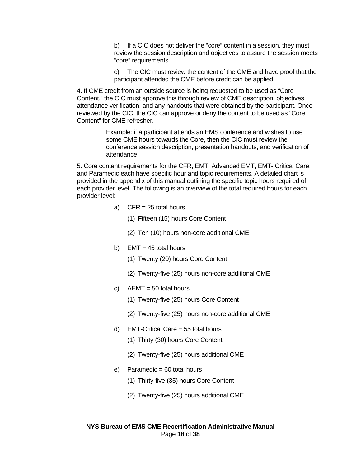b) If a CIC does not deliver the "core" content in a session, they must review the session description and objectives to assure the session meets "core" requirements.

c) The CIC must review the content of the CME and have proof that the participant attended the CME before credit can be applied.

4. If CME credit from an outside source is being requested to be used as "Core Content," the CIC must approve this through review of CME description, objectives, attendance verification, and any handouts that were obtained by the participant. Once reviewed by the CIC, the CIC can approve or deny the content to be used as "Core Content" for CME refresher.

> Example: if a participant attends an EMS conference and wishes to use some CME hours towards the Core, then the CIC must review the conference session description, presentation handouts, and verification of attendance.

5. Core content requirements for the CFR, EMT, Advanced EMT, EMT- Critical Care, and Paramedic each have specific hour and topic requirements. A detailed chart is provided in the appendix of this manual outlining the specific topic hours required of each provider level. The following is an overview of the total required hours for each provider level:

- a) CFR = 25 total hours
	- (1) Fifteen (15) hours Core Content
	- (2) Ten (10) hours non-core additional CME
- b) EMT =  $45$  total hours
	- (1) Twenty (20) hours Core Content
	- (2) Twenty-five (25) hours non-core additional CME
- c)  $AEMT = 50$  total hours
	- (1) Twenty-five (25) hours Core Content
	- (2) Twenty-five (25) hours non-core additional CME
- d) EMT-Critical Care = 55 total hours
	- (1) Thirty (30) hours Core Content
	- (2) Twenty-five (25) hours additional CME
- e) Paramedic =  $60$  total hours
	- (1) Thirty-five (35) hours Core Content
	- (2) Twenty-five (25) hours additional CME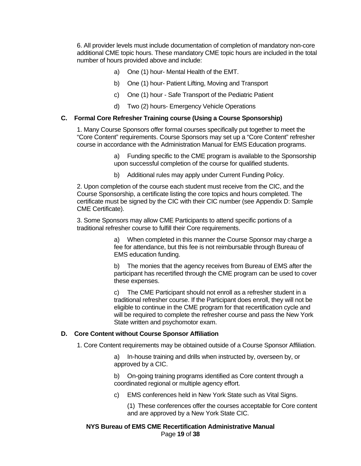6. All provider levels must include documentation of completion of mandatory non-core additional CME topic hours. These mandatory CME topic hours are included in the total number of hours provided above and include:

- a) One (1) hour- Mental Health of the EMT.
- b) One (1) hour- Patient Lifting, Moving and Transport
- c) One (1) hour Safe Transport of the Pediatric Patient
- d) Two (2) hours- Emergency Vehicle Operations

# <span id="page-18-0"></span>**C. Formal Core Refresher Training course (Using a Course Sponsorship)**

1. Many Course Sponsors offer formal courses specifically put together to meet the "Core Content" requirements. Course Sponsors may set up a "Core Content" refresher course in accordance with the Administration Manual for EMS Education programs.

> a) Funding specific to the CME program is available to the Sponsorship upon successful completion of the course for qualified students.

b) Additional rules may apply under Current Funding Policy.

2. Upon completion of the course each student must receive from the CIC, and the Course Sponsorship, a certificate listing the core topics and hours completed. The certificate must be signed by the CIC with their CIC number (see Appendix D: Sample CME Certificate).

3. Some Sponsors may allow CME Participants to attend specific portions of a traditional refresher course to fulfill their Core requirements.

> a) When completed in this manner the Course Sponsor may charge a fee for attendance, but this fee is not reimbursable through Bureau of EMS education funding.

b) The monies that the agency receives from Bureau of EMS after the participant has recertified through the CME program can be used to cover these expenses.

c) The CME Participant should not enroll as a refresher student in a traditional refresher course. If the Participant does enroll, they will not be eligible to continue in the CME program for that recertification cycle and will be required to complete the refresher course and pass the New York State written and psychomotor exam.

#### <span id="page-18-1"></span>**D. Core Content without Course Sponsor Affiliation**

1. Core Content requirements may be obtained outside of a Course Sponsor Affiliation.

a) In-house training and drills when instructed by, overseen by, or approved by a CIC.

b) On-going training programs identified as Core content through a coordinated regional or multiple agency effort.

c) EMS conferences held in New York State such as Vital Signs.

(1) These conferences offer the courses acceptable for Core content and are approved by a New York State CIC.

#### **NYS Bureau of EMS CME Recertification Administrative Manual** Page **19** of **38**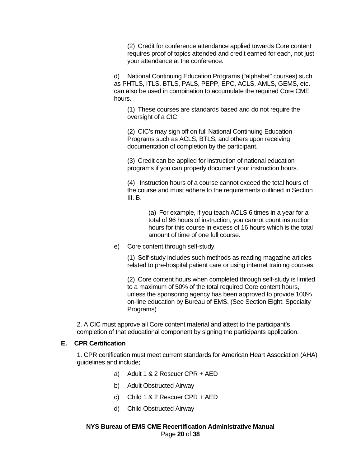(2) Credit for conference attendance applied towards Core content requires proof of topics attended and credit earned for each, not just your attendance at the conference.

d) National Continuing Education Programs ("alphabet" courses) such as PHTLS, ITLS, BTLS, PALS, PEPP, EPC, ACLS, AMLS, GEMS, etc. can also be used in combination to accumulate the required Core CME hours.

(1) These courses are standards based and do not require the oversight of a CIC.

(2) CIC's may sign off on full National Continuing Education Programs such as ACLS, BTLS, and others upon receiving documentation of completion by the participant.

(3) Credit can be applied for instruction of national education programs if you can properly document your instruction hours.

(4) Instruction hours of a course cannot exceed the total hours of the course and must adhere to the requirements outlined in Section III. B.

> (a) For example, if you teach ACLS 6 times in a year for a total of 96 hours of instruction, you cannot count instruction hours for this course in excess of 16 hours which is the total amount of time of one full course.

e) Core content through self-study.

(1) Self-study includes such methods as reading magazine articles related to pre-hospital patient care or using internet training courses.

(2) Core content hours when completed through self-study is limited to a maximum of 50% of the total required Core content hours, unless the sponsoring agency has been approved to provide 100% on-line education by Bureau of EMS. (See Section Eight: Specialty Programs)

2. A CIC must approve all Core content material and attest to the participant's completion of that educational component by signing the participants application.

#### <span id="page-19-0"></span>**E. CPR Certification**

1. CPR certification must meet current standards for American Heart Association (AHA) guidelines and include;

- a) Adult 1 & 2 Rescuer CPR + AED
- b) Adult Obstructed Airway
- c) Child 1 & 2 Rescuer CPR + AED
- d) Child Obstructed Airway

#### **NYS Bureau of EMS CME Recertification Administrative Manual** Page **20** of **38**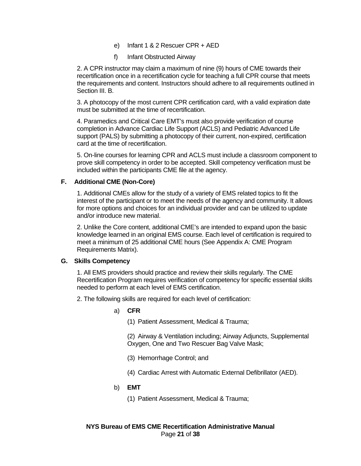- e) Infant 1 & 2 Rescuer CPR + AED
- f) Infant Obstructed Airway

2. A CPR instructor may claim a maximum of nine (9) hours of CME towards their recertification once in a recertification cycle for teaching a full CPR course that meets the requirements and content. Instructors should adhere to all requirements outlined in Section III. B.

3. A photocopy of the most current CPR certification card, with a valid expiration date must be submitted at the time of recertification.

4. Paramedics and Critical Care EMT's must also provide verification of course completion in Advance Cardiac Life Support (ACLS) and Pediatric Advanced Life support (PALS) by submitting a photocopy of their current, non-expired, certification card at the time of recertification.

5. On-line courses for learning CPR and ACLS must include a classroom component to prove skill competency in order to be accepted. Skill competency verification must be included within the participants CME file at the agency.

# <span id="page-20-0"></span>**F. Additional CME (Non-Core)**

1. Additional CMEs allow for the study of a variety of EMS related topics to fit the interest of the participant or to meet the needs of the agency and community. It allows for more options and choices for an individual provider and can be utilized to update and/or introduce new material.

2. Unlike the Core content, additional CME's are intended to expand upon the basic knowledge learned in an original EMS course. Each level of certification is required to meet a minimum of 25 additional CME hours (See Appendix A: CME Program Requirements Matrix).

#### <span id="page-20-1"></span>**G. Skills Competency**

1. All EMS providers should practice and review their skills regularly. The CME Recertification Program requires verification of competency for specific essential skills needed to perform at each level of EMS certification.

- 2. The following skills are required for each level of certification:
	- a) **CFR**
		- (1) Patient Assessment, Medical & Trauma;

(2) Airway & Ventilation including; Airway Adjuncts, Supplemental Oxygen, One and Two Rescuer Bag Valve Mask;

- (3) Hemorrhage Control; and
- (4) Cardiac Arrest with Automatic External Defibrillator (AED).
- b) **EMT**
	- (1) Patient Assessment, Medical & Trauma;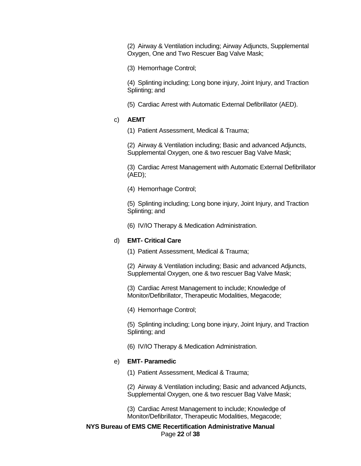(2) Airway & Ventilation including; Airway Adjuncts, Supplemental Oxygen, One and Two Rescuer Bag Valve Mask;

(3) Hemorrhage Control;

(4) Splinting including; Long bone injury, Joint Injury, and Traction Splinting; and

(5) Cardiac Arrest with Automatic External Defibrillator (AED).

# c) **AEMT**

(1) Patient Assessment, Medical & Trauma;

(2) Airway & Ventilation including; Basic and advanced Adjuncts, Supplemental Oxygen, one & two rescuer Bag Valve Mask;

(3) Cardiac Arrest Management with Automatic External Defibrillator (AED);

(4) Hemorrhage Control;

(5) Splinting including; Long bone injury, Joint Injury, and Traction Splinting; and

(6) IV/IO Therapy & Medication Administration.

#### d) **EMT- Critical Care**

(1) Patient Assessment, Medical & Trauma;

(2) Airway & Ventilation including; Basic and advanced Adjuncts, Supplemental Oxygen, one & two rescuer Bag Valve Mask;

(3) Cardiac Arrest Management to include; Knowledge of Monitor/Defibrillator, Therapeutic Modalities, Megacode;

(4) Hemorrhage Control;

(5) Splinting including; Long bone injury, Joint Injury, and Traction Splinting; and

(6) IV/IO Therapy & Medication Administration.

#### e) **EMT- Paramedic**

(1) Patient Assessment, Medical & Trauma;

(2) Airway & Ventilation including; Basic and advanced Adjuncts, Supplemental Oxygen, one & two rescuer Bag Valve Mask;

(3) Cardiac Arrest Management to include; Knowledge of Monitor/Defibrillator, Therapeutic Modalities, Megacode;

**NYS Bureau of EMS CME Recertification Administrative Manual** Page **22** of **38**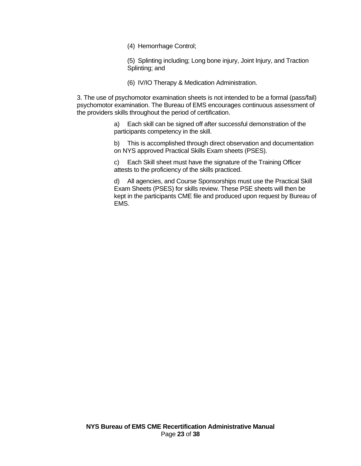(4) Hemorrhage Control;

(5) Splinting including; Long bone injury, Joint Injury, and Traction Splinting; and

(6) IV/IO Therapy & Medication Administration.

3. The use of psychomotor examination sheets is not intended to be a formal (pass/fail) psychomotor examination. The Bureau of EMS encourages continuous assessment of the providers skills throughout the period of certification.

> a) Each skill can be signed off after successful demonstration of the participants competency in the skill.

b) This is accomplished through direct observation and documentation on NYS approved Practical Skills Exam sheets (PSES).

c) Each Skill sheet must have the signature of the Training Officer attests to the proficiency of the skills practiced.

d) All agencies, and Course Sponsorships must use the Practical Skill Exam Sheets (PSES) for skills review. These PSE sheets will then be kept in the participants CME file and produced upon request by Bureau of EMS.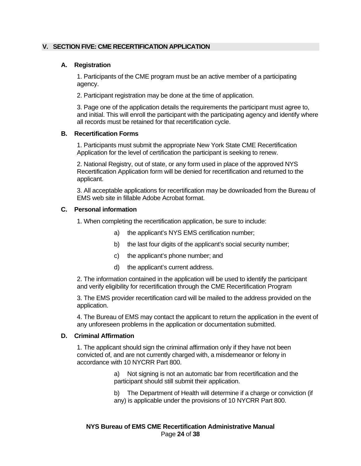# <span id="page-23-1"></span><span id="page-23-0"></span>**V. SECTION FIVE: CME RECERTIFICATION APPLICATION**

## **A. Registration**

1. Participants of the CME program must be an active member of a participating agency.

2. Participant registration may be done at the time of application.

3. Page one of the application details the requirements the participant must agree to, and initial. This will enroll the participant with the participating agency and identify where all records must be retained for that recertification cycle.

#### <span id="page-23-2"></span>**B. Recertification Forms**

1. Participants must submit the appropriate New York State CME Recertification Application for the level of certification the participant is seeking to renew.

2. National Registry, out of state, or any form used in place of the approved NYS Recertification Application form will be denied for recertification and returned to the applicant.

3. All acceptable applications for recertification may be downloaded from the Bureau of EMS web site in fillable Adobe Acrobat format.

#### <span id="page-23-3"></span>**C. Personal information**

1. When completing the recertification application, be sure to include:

- a) the applicant's NYS EMS certification number;
- b) the last four digits of the applicant's social security number;
- c) the applicant's phone number; and
- d) the applicant's current address.

2. The information contained in the application will be used to identify the participant and verify eligibility for recertification through the CME Recertification Program

3. The EMS provider recertification card will be mailed to the address provided on the application.

4. The Bureau of EMS may contact the applicant to return the application in the event of any unforeseen problems in the application or documentation submitted.

#### <span id="page-23-4"></span>**D. Criminal Affirmation**

1. The applicant should sign the criminal affirmation only if they have not been convicted of, and are not currently charged with, a misdemeanor or felony in accordance with 10 NYCRR Part 800.

> a) Not signing is not an automatic bar from recertification and the participant should still submit their application.

b) The Department of Health will determine if a charge or conviction (if any) is applicable under the provisions of 10 NYCRR Part 800.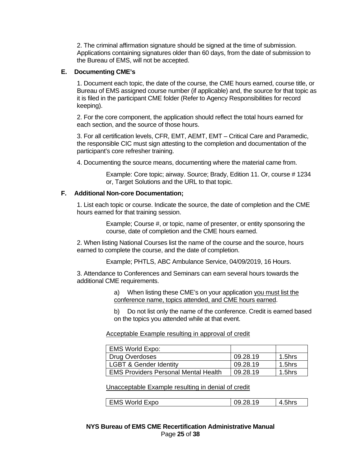2. The criminal affirmation signature should be signed at the time of submission. Applications containing signatures older than 60 days, from the date of submission to the Bureau of EMS, will not be accepted.

# <span id="page-24-0"></span>**E. Documenting CME's**

1. Document each topic, the date of the course, the CME hours earned, course title, or Bureau of EMS assigned course number (if applicable) and, the source for that topic as it is filed in the participant CME folder (Refer to Agency Responsibilities for record keeping).

2. For the core component, the application should reflect the total hours earned for each section, and the source of those hours.

3. For all certification levels, CFR, EMT, AEMT, EMT – Critical Care and Paramedic, the responsible CIC must sign attesting to the completion and documentation of the participant's core refresher training.

4. Documenting the source means, documenting where the material came from.

Example: Core topic; airway. Source; Brady, Edition 11. Or, course # 1234 or, Target Solutions and the URL to that topic.

#### <span id="page-24-1"></span>**F. Additional Non-core Documentation;**

1. List each topic or course. Indicate the source, the date of completion and the CME hours earned for that training session.

> Example; Course #, or topic, name of presenter, or entity sponsoring the course, date of completion and the CME hours earned.

2. When listing National Courses list the name of the course and the source, hours earned to complete the course, and the date of completion.

Example; PHTLS, ABC Ambulance Service, 04/09/2019, 16 Hours.

3. Attendance to Conferences and Seminars can earn several hours towards the additional CME requirements.

> a) When listing these CME's on your application you must list the conference name, topics attended, and CME hours earned.

b) Do not list only the name of the conference. Credit is earned based on the topics you attended while at that event.

## Acceptable Example resulting in approval of credit

| <b>EMS World Expo:</b>                      |          |        |
|---------------------------------------------|----------|--------|
| Drug Overdoses                              | 09.28.19 | 1.5hrs |
| <b>LGBT &amp; Gender Identity</b>           | 09.28.19 | 1.5hrs |
| <b>EMS Providers Personal Mental Health</b> | 09.28.19 | 1.5hrs |

Unacceptable Example resulting in denial of credit

| EMS World Expo | 09.28.19 | 4.5hrs |
|----------------|----------|--------|
|----------------|----------|--------|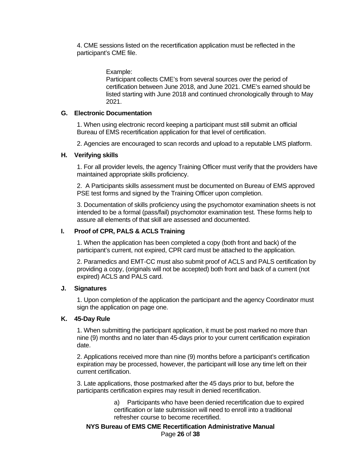4. CME sessions listed on the recertification application must be reflected in the participant's CME file.

Example:

Participant collects CME's from several sources over the period of certification between June 2018, and June 2021. CME's earned should be listed starting with June 2018 and continued chronologically through to May 2021.

# <span id="page-25-0"></span>**G. Electronic Documentation**

1. When using electronic record keeping a participant must still submit an official Bureau of EMS recertification application for that level of certification.

2. Agencies are encouraged to scan records and upload to a reputable LMS platform.

# <span id="page-25-1"></span>**H. Verifying skills**

1. For all provider levels, the agency Training Officer must verify that the providers have maintained appropriate skills proficiency.

2. A Participants skills assessment must be documented on Bureau of EMS approved PSE test forms and signed by the Training Officer upon completion.

3. Documentation of skills proficiency using the psychomotor examination sheets is not intended to be a formal (pass/fail) psychomotor examination test. These forms help to assure all elements of that skill are assessed and documented.

# <span id="page-25-2"></span>**I. Proof of CPR, PALS & ACLS Training**

1. When the application has been completed a copy (both front and back) of the participant's current, not expired, CPR card must be attached to the application.

2. Paramedics and EMT-CC must also submit proof of ACLS and PALS certification by providing a copy, (originals will not be accepted) both front and back of a current (not expired) ACLS and PALS card.

# <span id="page-25-3"></span>**J. Signatures**

1. Upon completion of the application the participant and the agency Coordinator must sign the application on page one.

# <span id="page-25-4"></span>**K. 45-Day Rule**

1. When submitting the participant application, it must be post marked no more than nine (9) months and no later than 45-days prior to your current certification expiration date.

2. Applications received more than nine (9) months before a participant's certification expiration may be processed, however, the participant will lose any time left on their current certification.

3. Late applications, those postmarked after the 45 days prior to but, before the participants certification expires may result in denied recertification.

> a) Participants who have been denied recertification due to expired certification or late submission will need to enroll into a traditional refresher course to become recertified.

**NYS Bureau of EMS CME Recertification Administrative Manual** Page **26** of **38**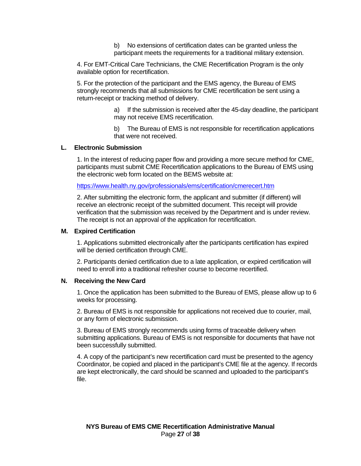b) No extensions of certification dates can be granted unless the participant meets the requirements for a traditional military extension.

4. For EMT-Critical Care Technicians, the CME Recertification Program is the only available option for recertification.

5. For the protection of the participant and the EMS agency, the Bureau of EMS strongly recommends that all submissions for CME recertification be sent using a return-receipt or tracking method of delivery.

> a) If the submission is received after the 45-day deadline, the participant may not receive EMS recertification.

b) The Bureau of EMS is not responsible for recertification applications that were not received.

#### <span id="page-26-0"></span>**L. Electronic Submission**

1. In the interest of reducing paper flow and providing a more secure method for CME, participants must submit CME Recertification applications to the Bureau of EMS using the electronic web form located on the BEMS website at:

<https://www.health.ny.gov/professionals/ems/certification/cmerecert.htm>

2. After submitting the electronic form, the applicant and submitter (if different) will receive an electronic receipt of the submitted document. This receipt will provide verification that the submission was received by the Department and is under review. The receipt is not an approval of the application for recertification.

#### <span id="page-26-1"></span>**M. Expired Certification**

1. Applications submitted electronically after the participants certification has expired will be denied certification through CME.

2. Participants denied certification due to a late application, or expired certification will need to enroll into a traditional refresher course to become recertified.

#### <span id="page-26-2"></span>**N. Receiving the New Card**

1. Once the application has been submitted to the Bureau of EMS, please allow up to 6 weeks for processing.

2. Bureau of EMS is not responsible for applications not received due to courier, mail, or any form of electronic submission.

3. Bureau of EMS strongly recommends using forms of traceable delivery when submitting applications. Bureau of EMS is not responsible for documents that have not been successfully submitted.

4. A copy of the participant's new recertification card must be presented to the agency Coordinator, be copied and placed in the participant's CME file at the agency. If records are kept electronically, the card should be scanned and uploaded to the participant's file.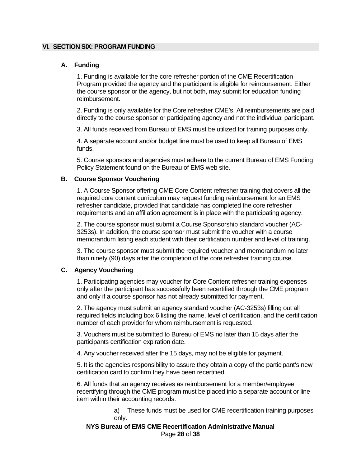#### <span id="page-27-1"></span><span id="page-27-0"></span>**VI. SECTION SIX: PROGRAM FUNDING**

# **A. Funding**

1. Funding is available for the core refresher portion of the CME Recertification Program provided the agency and the participant is eligible for reimbursement. Either the course sponsor or the agency, but not both, may submit for education funding reimbursement.

2. Funding is only available for the Core refresher CME's. All reimbursements are paid directly to the course sponsor or participating agency and not the individual participant.

3. All funds received from Bureau of EMS must be utilized for training purposes only.

4. A separate account and/or budget line must be used to keep all Bureau of EMS funds.

5. Course sponsors and agencies must adhere to the current Bureau of EMS Funding Policy Statement found on the Bureau of EMS web site.

#### <span id="page-27-2"></span>**B. Course Sponsor Vouchering**

1. A Course Sponsor offering CME Core Content refresher training that covers all the required core content curriculum may request funding reimbursement for an EMS refresher candidate, provided that candidate has completed the core refresher requirements and an affiliation agreement is in place with the participating agency.

2. The course sponsor must submit a Course Sponsorship standard voucher (AC-3253s). In addition, the course sponsor must submit the voucher with a course memorandum listing each student with their certification number and level of training.

3. The course sponsor must submit the required voucher and memorandum no later than ninety (90) days after the completion of the core refresher training course.

## <span id="page-27-3"></span>**C. Agency Vouchering**

1. Participating agencies may voucher for Core Content refresher training expenses only after the participant has successfully been recertified through the CME program and only if a course sponsor has not already submitted for payment.

2. The agency must submit an agency standard voucher (AC-3253s) filling out all required fields including box 6 listing the name, level of certification, and the certification number of each provider for whom reimbursement is requested.

3. Vouchers must be submitted to Bureau of EMS no later than 15 days after the participants certification expiration date.

4. Any voucher received after the 15 days, may not be eligible for payment.

5. It is the agencies responsibility to assure they obtain a copy of the participant's new certification card to confirm they have been recertified.

6. All funds that an agency receives as reimbursement for a member/employee recertifying through the CME program must be placed into a separate account or line item within their accounting records.

> a) These funds must be used for CME recertification training purposes only.

#### **NYS Bureau of EMS CME Recertification Administrative Manual** Page **28** of **38**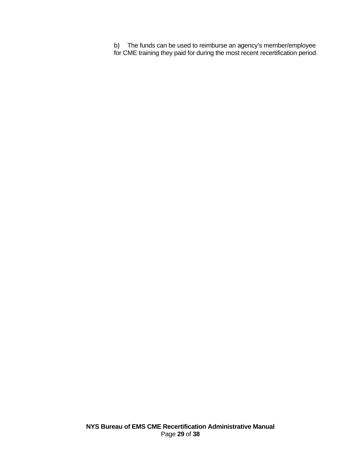b) The funds can be used to reimburse an agency's member/employee for CME training they paid for during the most recent recertification period.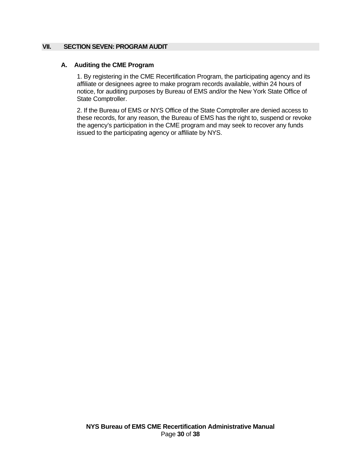# <span id="page-29-1"></span>**VII. SECTION SEVEN: PROGRAM AUDIT**

# <span id="page-29-0"></span>**A. Auditing the CME Program**

1. By registering in the CME Recertification Program, the participating agency and its affiliate or designees agree to make program records available, within 24 hours of notice, for auditing purposes by Bureau of EMS and/or the New York State Office of State Comptroller.

2. If the Bureau of EMS or NYS Office of the State Comptroller are denied access to these records, for any reason, the Bureau of EMS has the right to, suspend or revoke the agency's participation in the CME program and may seek to recover any funds issued to the participating agency or affiliate by NYS.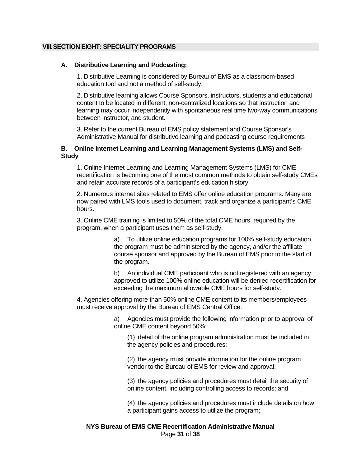#### <span id="page-30-1"></span><span id="page-30-0"></span>**VIII.SECTION EIGHT: SPECIALITY PROGRAMS**

#### **A. Distributive Learning and Podcasting;**

1. Distributive Learning is considered by Bureau of EMS as a classroom-based education tool and not a method of self-study.

2. Distributive learning allows Course Sponsors, instructors, students and educational content to be located in different, non-centralized locations so that instruction and learning may occur independently with spontaneous real time two-way communications between instructor, and student.

3. Refer to the current Bureau of EMS policy statement and Course Sponsor's Administrative Manual for distributive learning and podcasting course requirements

#### <span id="page-30-2"></span>**B. Online Internet Learning and Learning Management Systems (LMS) and Self-Study**

1. Online Internet Learning and Learning Management Systems (LMS) for CME recertification is becoming one of the most common methods to obtain self-study CMEs and retain accurate records of a participant's education history.

2. Numerous internet sites related to EMS offer online education programs. Many are now paired with LMS tools used to document, track and organize a participant's CME hours.

3. Online CME training is limited to 50% of the total CME hours, required by the program, when a participant uses them as self-study.

> a) To utilize online education programs for 100% self-study education the program must be administered by the agency, and/or the affiliate course sponsor and approved by the Bureau of EMS prior to the start of the program.

b) An individual CME participant who is not registered with an agency approved to utilize 100% online education will be denied recertification for exceeding the maximum allowable CME hours for self-study.

4. Agencies offering more than 50% online CME content to its members/employees must receive approval by the Bureau of EMS Central Office.

> a) Agencies must provide the following information prior to approval of online CME content beyond 50%:

(1) detail of the online program administration must be included in the agency policies and procedures;

(2) the agency must provide information for the online program vendor to the Bureau of EMS for review and approval;

(3) the agency policies and procedures must detail the security of online content, including controlling access to records; and

(4) the agency policies and procedures must include details on how a participant gains access to utilize the program;

## **NYS Bureau of EMS CME Recertification Administrative Manual** Page **31** of **38**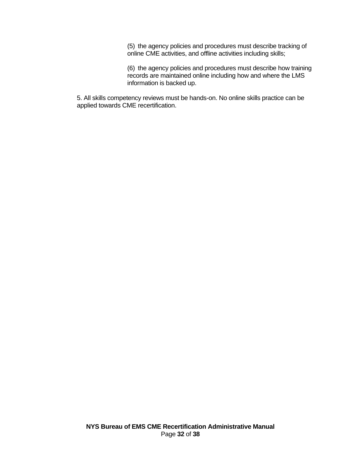(5) the agency policies and procedures must describe tracking of online CME activities, and offline activities including skills;

(6) the agency policies and procedures must describe how training records are maintained online including how and where the LMS information is backed up.

5. All skills competency reviews must be hands-on. No online skills practice can be applied towards CME recertification.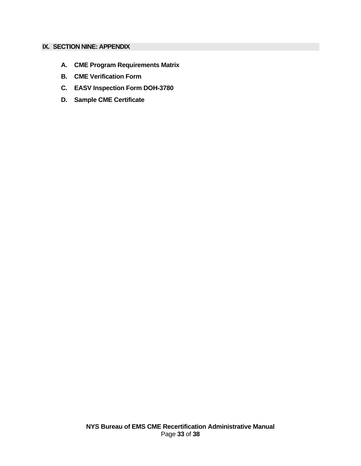# <span id="page-32-0"></span>**IX. SECTION NINE: APPENDIX**

- **A. CME Program Requirements Matrix**
- **B. CME Verification Form**
- **C. EASV Inspection Form DOH-3780**
- **D. Sample CME Certificate**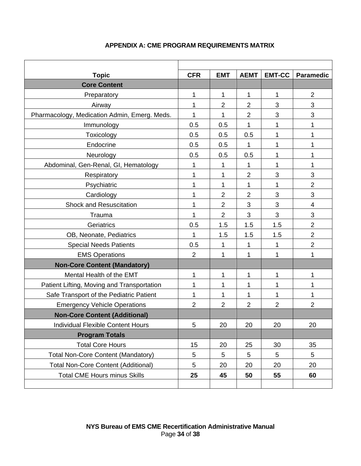<span id="page-33-0"></span>

| <b>Topic</b>                                 | <b>CFR</b>     | <b>EMT</b>     | <b>AEMT</b>    | <b>EMT-CC</b>  | <b>Paramedic</b> |  |  |
|----------------------------------------------|----------------|----------------|----------------|----------------|------------------|--|--|
| <b>Core Content</b>                          |                |                |                |                |                  |  |  |
| Preparatory                                  | 1              | 1              | 1              | 1              | $\overline{2}$   |  |  |
| Airway                                       | 1              | $\overline{2}$ | $\overline{2}$ | 3              | 3                |  |  |
| Pharmacology, Medication Admin, Emerg. Meds. | 1              | 1              | $\mathbf{2}$   | 3              | 3                |  |  |
| Immunology                                   | 0.5            | 0.5            | 1              | 1              | 1                |  |  |
| Toxicology                                   | 0.5            | 0.5            | 0.5            | 1              | 1                |  |  |
| Endocrine                                    | 0.5            | 0.5            | 1              | 1              | 1                |  |  |
| Neurology                                    | 0.5            | 0.5            | 0.5            | 1              | 1                |  |  |
| Abdominal, Gen-Renal, GI, Hematology         | 1              | 1              | 1              | 1              | 1                |  |  |
| Respiratory                                  | 1              | 1              | $\overline{2}$ | 3              | 3                |  |  |
| Psychiatric                                  | 1              | 1              | 1              | 1              | $\overline{2}$   |  |  |
| Cardiology                                   | 1              | $\overline{2}$ | $\overline{2}$ | 3              | 3                |  |  |
| <b>Shock and Resuscitation</b>               | 1              | $\overline{2}$ | 3              | 3              | 4                |  |  |
| Trauma                                       | 1              | $\overline{2}$ | 3              | 3              | 3                |  |  |
| Geriatrics                                   | 0.5            | 1.5            | 1.5            | 1.5            | $\overline{2}$   |  |  |
| OB, Neonate, Pediatrics                      | 1              | 1.5            | 1.5            | 1.5            | $\overline{2}$   |  |  |
| <b>Special Needs Patients</b>                | 0.5            | 1              | 1              | 1              | $\overline{2}$   |  |  |
| <b>EMS Operations</b>                        | $\overline{2}$ | 1              | 1              | 1              | 1                |  |  |
| <b>Non-Core Content (Mandatory)</b>          |                |                |                |                |                  |  |  |
| Mental Health of the EMT                     | 1              | 1              | 1              | 1              | 1                |  |  |
| Patient Lifting, Moving and Transportation   | 1              | 1              | 1              | 1              | 1                |  |  |
| Safe Transport of the Pediatric Patient      | 1              | 1              | 1              | 1              | 1                |  |  |
| <b>Emergency Vehicle Operations</b>          | $\overline{2}$ | $\overline{2}$ | $\overline{2}$ | $\overline{2}$ | $\overline{2}$   |  |  |
| <b>Non-Core Content (Additional)</b>         |                |                |                |                |                  |  |  |
| Individual Flexible Content Hours            | 5              | 20             | 20             | 20             | 20               |  |  |
| <b>Program Totals</b>                        |                |                |                |                |                  |  |  |
| <b>Total Core Hours</b>                      | 15             | 20             | 25             | 30             | 35               |  |  |
| <b>Total Non-Core Content (Mandatory)</b>    | 5              | 5              | 5              | 5              | 5                |  |  |
| <b>Total Non-Core Content (Additional)</b>   | 5              | 20             | 20             | 20             | 20               |  |  |
| <b>Total CME Hours minus Skills</b>          | 25             | 45             | 50             | 55             | 60               |  |  |
|                                              |                |                |                |                |                  |  |  |

# **APPENDIX A: CME PROGRAM REQUIREMENTS MATRIX**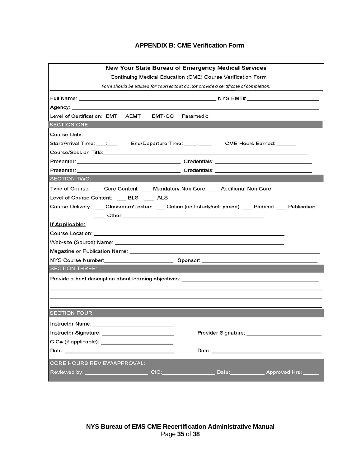# **APPENDIX B: CME Verification Form**

<span id="page-34-0"></span>

| <b>New Your State Bureau of Emergency Medical Services</b>                                                     |  |  |  |  |  |  |  |
|----------------------------------------------------------------------------------------------------------------|--|--|--|--|--|--|--|
| Continuing Medical Education (CME) Course Verification Form                                                    |  |  |  |  |  |  |  |
| Form should be utilized for courses that do not provide a certificate of completion.                           |  |  |  |  |  |  |  |
|                                                                                                                |  |  |  |  |  |  |  |
|                                                                                                                |  |  |  |  |  |  |  |
| Level of Certification: EMT AEMT EMT-CC Paramedic                                                              |  |  |  |  |  |  |  |
| <b>SECTION ONE:</b>                                                                                            |  |  |  |  |  |  |  |
| Course Date:_______________________                                                                            |  |  |  |  |  |  |  |
| Start/Arrival Time: ___: ___ End/Departure Time: ____: ____ CME Hours Earned: _____                            |  |  |  |  |  |  |  |
| Course/Session Title: 2008 - 2009 - 2010 - 2010 - 2011 - 2012 - 2014 - 2014 - 2014 - 2014 - 2014 - 2014 - 2014 |  |  |  |  |  |  |  |
|                                                                                                                |  |  |  |  |  |  |  |
|                                                                                                                |  |  |  |  |  |  |  |
| <b>SECTION TWO:</b>                                                                                            |  |  |  |  |  |  |  |
| Type of Course: ____ Core Content ____ Mandatory Non Core ____ Additional Non Core                             |  |  |  |  |  |  |  |
| Level of Course Content: ___ BLS ___ ALS                                                                       |  |  |  |  |  |  |  |
| Course Delivery: ___ Classroom/Lecture ___ Online (self-study/self paced) ___ Podcast ___ Publication          |  |  |  |  |  |  |  |
| <b>Other:</b> Other: <b>Other: Access 2019</b>                                                                 |  |  |  |  |  |  |  |
| If Applicable:                                                                                                 |  |  |  |  |  |  |  |
|                                                                                                                |  |  |  |  |  |  |  |
|                                                                                                                |  |  |  |  |  |  |  |
|                                                                                                                |  |  |  |  |  |  |  |
|                                                                                                                |  |  |  |  |  |  |  |
| <b>SECTION THREE:</b>                                                                                          |  |  |  |  |  |  |  |
|                                                                                                                |  |  |  |  |  |  |  |
|                                                                                                                |  |  |  |  |  |  |  |
|                                                                                                                |  |  |  |  |  |  |  |
|                                                                                                                |  |  |  |  |  |  |  |
| <b>SECTION FOUR:</b>                                                                                           |  |  |  |  |  |  |  |
| Instructor Name:                                                                                               |  |  |  |  |  |  |  |
| Provider Signature: ________________                                                                           |  |  |  |  |  |  |  |
|                                                                                                                |  |  |  |  |  |  |  |
| Date: Note: Note: Note: Note: Note: Note: Note: Note: Note: Note: Note: Note: Note: Note: Note: Note: Note: No |  |  |  |  |  |  |  |
| CORE HOURS REVIEW/APPROVAL:                                                                                    |  |  |  |  |  |  |  |
|                                                                                                                |  |  |  |  |  |  |  |
|                                                                                                                |  |  |  |  |  |  |  |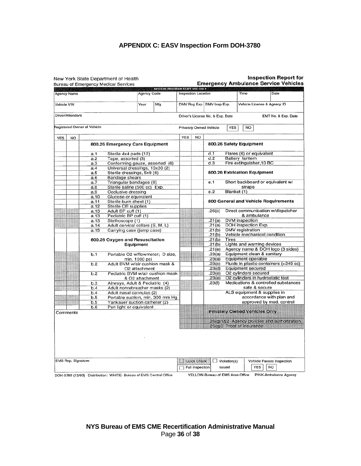# **APPENDIX C: EASV Inspection Form DOH-3780**

<span id="page-35-0"></span>

|                             |      | New York State Department of Health<br><b>Bureau of Emergency Medical Services</b> |                 |                                |                                                           |                    |                                      |                           |        |                                  |      | <b>Inspection Report for</b><br><b>Emergency Ambulance Service Vehicles</b> |
|-----------------------------|------|------------------------------------------------------------------------------------|-----------------|--------------------------------|-----------------------------------------------------------|--------------------|--------------------------------------|---------------------------|--------|----------------------------------|------|-----------------------------------------------------------------------------|
|                             |      |                                                                                    |                 | NYS EMS PROGRAM STAFF USE ONLY |                                                           |                    |                                      |                           |        |                                  |      |                                                                             |
| Agency Name                 |      |                                                                                    | Agency Code     |                                | Inspection Location                                       |                    |                                      |                           | Time   |                                  | Date |                                                                             |
| Year<br>Vehicle VIN<br>Mfg  |      |                                                                                    |                 |                                | DMV Reg Exp   DMV Insp Exp<br>Vehicle License & Agency ID |                    |                                      |                           |        |                                  |      |                                                                             |
| Driver/Attendant            |      |                                                                                    |                 |                                |                                                           |                    | Driver's License No. & Exp. Date     |                           |        |                                  |      | EMT No. & Exp. Date                                                         |
| Registered Owner of Vehicle |      |                                                                                    |                 |                                |                                                           |                    | Privately Owned Vehicle              | YES                       | NO     |                                  |      |                                                                             |
| YES<br>NO                   |      |                                                                                    |                 |                                | <b>YES</b>                                                | NO                 |                                      |                           |        |                                  |      |                                                                             |
|                             |      | 800.26 Emergency Care Equipment                                                    |                 |                                |                                                           |                    | 800.26 Safety Equipment              |                           |        |                                  |      |                                                                             |
|                             | a.1  | Sterile 4x4 pads (12)                                                              |                 |                                |                                                           |                    | d.1                                  |                           |        | Flares (6) or equivalent         |      |                                                                             |
|                             | a.2  | Tape, assorted (3)                                                                 |                 |                                |                                                           |                    | d.2                                  | Battery lantern           |        |                                  |      |                                                                             |
|                             | a.3  | Conforming gauze, assorted (6)                                                     |                 |                                |                                                           |                    | d.3                                  |                           |        | Fire extinguisher, 10 BC         |      |                                                                             |
|                             | a.4  | Universal dressings, 10x30 (2)                                                     |                 |                                |                                                           |                    |                                      |                           |        |                                  |      |                                                                             |
|                             | a.5  | Sterile dressings, 5x9 (6)                                                         |                 |                                |                                                           |                    | 800.26 Extrication Equipment         |                           |        |                                  |      |                                                                             |
|                             | a.6  | Bandage shears                                                                     |                 |                                |                                                           |                    |                                      |                           |        |                                  |      |                                                                             |
|                             | a.7  | Triangular bandages (6)                                                            |                 |                                |                                                           |                    | e.1                                  |                           |        |                                  |      | Short backboard or equivalent w/                                            |
|                             | a.8  | Sterile saline (500 cc) Exp.                                                       |                 |                                |                                                           |                    |                                      |                           | straps |                                  |      |                                                                             |
|                             | a.9  | Occlusive dressing                                                                 |                 |                                |                                                           |                    | e.2                                  | Blanket (1)               |        |                                  |      |                                                                             |
|                             | a.10 | Glucose or equivalent                                                              |                 |                                |                                                           |                    |                                      |                           |        |                                  |      |                                                                             |
|                             | a.11 | Sterile burn sheet (1)                                                             |                 |                                |                                                           |                    |                                      |                           |        |                                  |      | 800 General and Vehicle Requirements                                        |
|                             | a.12 | Sterile OB supplies                                                                |                 |                                |                                                           |                    |                                      |                           |        |                                  |      |                                                                             |
|                             | a.13 | Adult BP cuff (1)                                                                  |                 |                                |                                                           |                    | .26(c)                               |                           |        |                                  |      | Direct communication w/dispatcher                                           |
|                             | a.13 | Pediatric BP cuff (1)                                                              |                 |                                |                                                           |                    |                                      |                           |        | & ambulance                      |      |                                                                             |
|                             | a.13 | Stethoscope (1)                                                                    |                 |                                |                                                           |                    | .21(a)                               | <b>DVM</b> inspection     |        |                                  |      |                                                                             |
| 333                         | a.14 | Adult cervical collars (S, M, L)                                                   |                 |                                |                                                           |                    | .21(a)                               |                           |        | DOH inspection Exp.              |      |                                                                             |
|                             | a.15 | Carrying case (jump case)                                                          |                 |                                |                                                           |                    | .21(b)                               | DMV registration          |        |                                  |      |                                                                             |
|                             |      |                                                                                    |                 |                                |                                                           |                    | .21(b)                               |                           |        | Vehicle mechanical condition     |      |                                                                             |
|                             |      | 800.26 Oxygen and Resuscitation                                                    |                 |                                |                                                           |                    | .21(b)                               | <b>Tires</b>              |        |                                  |      |                                                                             |
|                             |      | Equipment                                                                          |                 |                                |                                                           |                    | .21(b)                               |                           |        | Lights and warning devices       |      |                                                                             |
|                             |      |                                                                                    |                 |                                |                                                           |                    | .21(e)                               |                           |        |                                  |      | Agency name & DOH logo (3 sides)                                            |
|                             | b.1  | Portable O2 w/flowmeter; D size,                                                   |                 |                                |                                                           |                    | .23(a)                               |                           |        | Equipment clean & sanitary       |      |                                                                             |
|                             |      |                                                                                    | min. 1000 psi   |                                |                                                           |                    | .23(a)                               |                           |        | <b>Equipment operable</b>        |      |                                                                             |
|                             | b.2  | Adult BVM w/air cushion mask &                                                     |                 |                                |                                                           |                    | .23(c)                               |                           |        |                                  |      | Fluids in plastic containers (>249 cc)                                      |
|                             |      |                                                                                    | O2 attachment   |                                |                                                           |                    | .23(d)                               |                           |        | Equipment secured                |      |                                                                             |
|                             | b.2  | Pediatric BVM w/air cushion mask                                                   |                 |                                |                                                           |                    | .23(e)                               |                           |        | O2 cylinders secured             |      |                                                                             |
|                             |      |                                                                                    | & O2 attachment |                                |                                                           |                    | .23(e)                               |                           |        | O2 cylinders in hydrostatic test |      |                                                                             |
|                             | b.3  | Airways, Adult & Pediatric (4)                                                     |                 |                                |                                                           |                    | .23(f)                               |                           |        |                                  |      | Medications & controlled substances                                         |
|                             | b.4  | Adult nonrebreather masks (2)                                                      |                 |                                |                                                           |                    |                                      |                           |        | safe & secure                    |      |                                                                             |
|                             | b.4  | Adult nasal cannulas (2)                                                           |                 |                                |                                                           |                    |                                      |                           |        | ALS equipment & supplies in      |      |                                                                             |
|                             | b.5  | Portable suction, min. 300 mm Hg                                                   |                 |                                |                                                           |                    |                                      |                           |        |                                  |      | accordance with plan and                                                    |
|                             | b.5  | Yankauer suction catheter (2)                                                      |                 |                                |                                                           |                    |                                      |                           |        |                                  |      | approved by med. control                                                    |
|                             | b.6  | Pen light or equivalent                                                            |                 |                                |                                                           |                    |                                      |                           |        |                                  |      |                                                                             |
| Comments                    |      |                                                                                    |                 |                                |                                                           |                    | <b>Privately Owned Vehicles Only</b> |                           |        |                                  |      |                                                                             |
|                             |      |                                                                                    |                 |                                |                                                           |                    |                                      |                           |        |                                  |      |                                                                             |
|                             |      |                                                                                    |                 |                                |                                                           |                    |                                      |                           |        |                                  |      | 26(g)1&2 Agency policies and authorization                                  |
|                             |      |                                                                                    |                 |                                |                                                           |                    |                                      | 26(g)3 Proof of insurance |        |                                  |      |                                                                             |
|                             |      |                                                                                    |                 |                                |                                                           |                    |                                      |                           |        |                                  |      |                                                                             |
|                             |      |                                                                                    |                 |                                |                                                           |                    |                                      |                           |        |                                  |      |                                                                             |
|                             |      |                                                                                    |                 |                                |                                                           |                    |                                      |                           |        |                                  |      |                                                                             |
|                             |      |                                                                                    |                 |                                |                                                           |                    |                                      |                           |        |                                  |      |                                                                             |
|                             |      |                                                                                    |                 |                                |                                                           |                    |                                      |                           |        |                                  |      |                                                                             |
|                             |      |                                                                                    |                 |                                |                                                           |                    |                                      |                           |        |                                  |      |                                                                             |
|                             |      |                                                                                    |                 |                                |                                                           |                    |                                      |                           |        |                                  |      |                                                                             |
| EMS Rep. Signature          |      |                                                                                    |                 |                                |                                                           | <b>Quick Check</b> |                                      | $\Box$ Violation(s)       |        |                                  |      | Vehicle Passes Inspection                                                   |
|                             |      |                                                                                    |                 |                                |                                                           | Full Inspection    |                                      | Issued                    |        | <b>YES</b>                       | NO   |                                                                             |
|                             |      |                                                                                    |                 |                                |                                                           |                    |                                      |                           |        |                                  |      |                                                                             |
|                             |      | DOH-3780 (12/93) Distribution: WHITE- Bureau of EMS Central Office                 |                 |                                |                                                           |                    | YELLOW-Bureau of EMS Area Office     |                           |        |                                  |      | PINK-Ambulance Agency                                                       |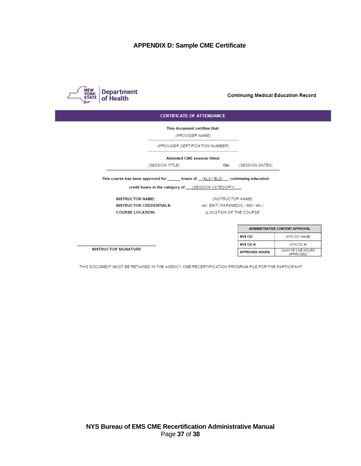# **APPENDIX D: Sample CME Certificate**

<span id="page-36-0"></span>

**Continuing Medical Education Record** 

#### **CERTIFICATE OF ATTENDANCE**

This document certifies that:

(PROVIDER NAME)

(PROVIDER CERTIFICATION NUMBER)

Attended CME session titled:

(SESSION TITLE) On: (SESSION DATES)

This course has been approved for \_\_\_\_\_\_ hours of \_(ALS/BLS) \_\_ continuing education

credit hours in the category of \_\_\_(SESSION CATEGORY)\_\_\_\_.

**INSTRUCTOR NAME: COURSE LOCATION:** 

**INSTRUCTOR SIGNATURE** 

(INSTRUCTOR NAME) INSTRUCTOR CREDENTIALS: (ex: EMT/PARAMEDIC/MD/etc.) (LOCATION OF THE COURSE

| <b>ADMINISTRATIVE CONTENT APPROVAL</b> |                                              |  |  |  |  |  |  |
|----------------------------------------|----------------------------------------------|--|--|--|--|--|--|
| <b>NYS CIC:</b>                        | (NYS CIC NAME)                               |  |  |  |  |  |  |
| NYS CIC #:                             | $(NYS$ CIC #)                                |  |  |  |  |  |  |
| <b>APPROVED HOURS</b>                  | <b>INUM OF CME HOURS</b><br><b>APPROVED)</b> |  |  |  |  |  |  |

THIS DOCUMENT MUST BE RETAINED IN THE AGENCY CME RECERTIFICATION PROGRAM FILE FOR THE PARTICIPANT